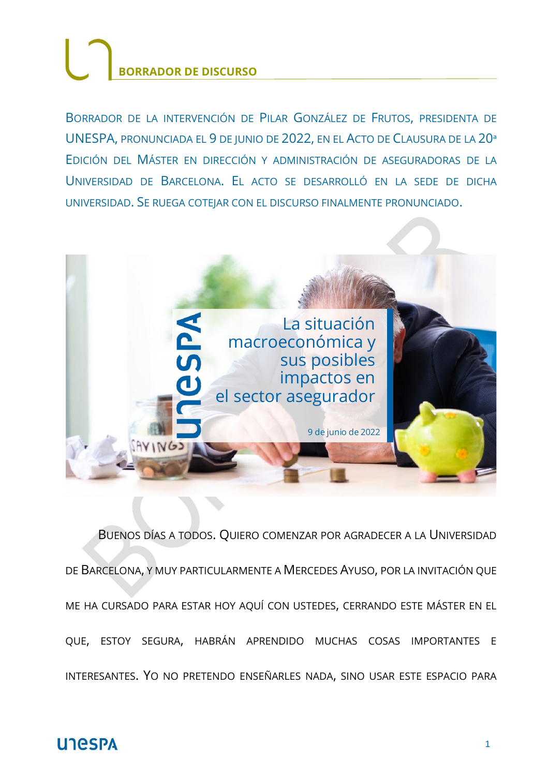BORRADOR DE LA INTERVENCIÓN DE PILAR GONZÁLEZ DE FRUTOS, PRESIDENTA DE UNESPA, PRONUNCIADA EL 9 DE JUNIO DE 2022, EN EL ACTO DE CLAUSURA DE LA 20ª EDICIÓN DEL MÁSTER EN DIRECCIÓN Y ADMINISTRACIÓN DE ASEGURADORAS DE LA UNIVERSIDAD DE BARCELONA. EL ACTO SE DESARROLLÓ EN LA SEDE DE DICHA UNIVERSIDAD. SE RUEGA COTEJAR CON EL DISCURSO FINALMENTE PRONUNCIADO.



BUENOS DÍAS A TODOS. QUIERO COMENZAR POR AGRADECER A LA UNIVERSIDAD DE BARCELONA, Y MUY PARTICULARMENTE A MERCEDES AYUSO, POR LA INVITACIÓN QUE ME HA CURSADO PARA ESTAR HOY AQUÍ CON USTEDES, CERRANDO ESTE MÁSTER EN EL QUE, ESTOY SEGURA, HABRÁN APRENDIDO MUCHAS COSAS IMPORTANTES E INTERESANTES. YO NO PRETENDO ENSEÑARLES NADA, SINO USAR ESTE ESPACIO PARA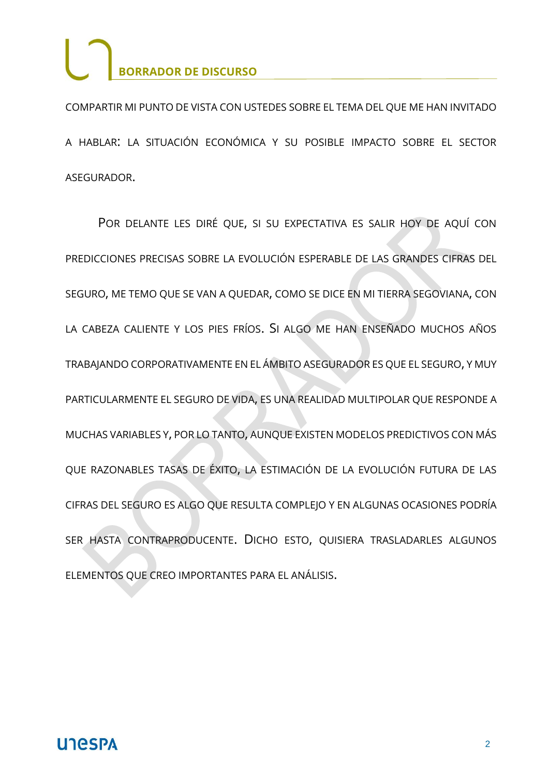COMPARTIR MI PUNTO DE VISTA CON USTEDES SOBRE EL TEMA DEL QUE ME HAN INVITADO A HABLAR: LA SITUACIÓN ECONÓMICA Y SU POSIBLE IMPACTO SOBRE EL SECTOR ASEGURADOR.

POR DELANTE LES DIRÉ QUE, SI SU EXPECTATIVA ES SALIR HOY DE AQUÍ CON PREDICCIONES PRECISAS SOBRE LA EVOLUCIÓN ESPERABLE DE LAS GRANDES CIFRAS DEL SEGURO, ME TEMO QUE SE VAN A QUEDAR, COMO SE DICE EN MI TIERRA SEGOVIANA, CON LA CABEZA CALIENTE Y LOS PIES FRÍOS. SI ALGO ME HAN ENSEÑADO MUCHOS AÑOS TRABAJANDO CORPORATIVAMENTE EN EL ÁMBITO ASEGURADOR ES QUE EL SEGURO, Y MUY PARTICULARMENTE EL SEGURO DE VIDA, ES UNA REALIDAD MULTIPOLAR QUE RESPONDE A MUCHAS VARIABLES Y, POR LO TANTO, AUNQUE EXISTEN MODELOS PREDICTIVOS CON MÁS QUE RAZONABLES TASAS DE ÉXITO, LA ESTIMACIÓN DE LA EVOLUCIÓN FUTURA DE LAS CIFRAS DEL SEGURO ES ALGO QUE RESULTA COMPLEJO Y EN ALGUNAS OCASIONES PODRÍA SER HASTA CONTRAPRODUCENTE. DICHO ESTO, QUISIERA TRASLADARLES ALGUNOS ELEMENTOS QUE CREO IMPORTANTES PARA EL ANÁLISIS.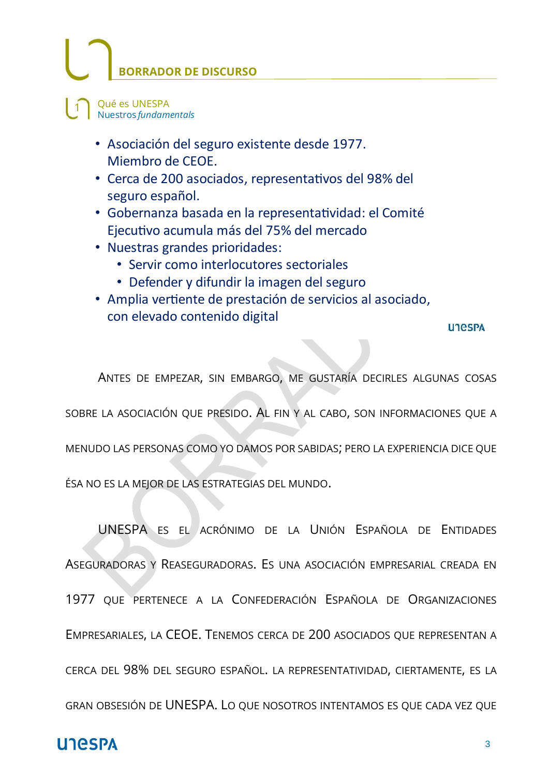Qué es UNESPA  $\mathbf{1}$ Nuestros fundamentals

- · Asociación del seguro existente desde 1977. Miembro de CEOE.
- · Cerca de 200 asociados, representativos del 98% del seguro español.
- · Gobernanza basada en la representatividad: el Comité Ejecutivo acumula más del 75% del mercado
- Nuestras grandes prioridades:
	- Servir como interlocutores sectoriales
	- Defender y difundir la imagen del seguro
- · Amplia vertiente de prestación de servicios al asociado, con elevado contenido digital

**UTGSPA** 

ANTES DE EMPEZAR, SIN EMBARGO, ME GUSTARÍA DECIRLES ALGUNAS COSAS SOBRE LA ASOCIACIÓN QUE PRESIDO. AL FIN Y AL CABO, SON INFORMACIONES QUE A MENUDO LAS PERSONAS COMO YO DAMOS POR SABIDAS; PERO LA EXPERIENCIA DICE QUE ÉSA NO ES LA MEJOR DE LAS ESTRATEGIAS DEL MUNDO.

UNESPA ES EL ACRÓNIMO DE LA UNIÓN ESPAÑOLA DE ENTIDADES

ASEGURADORAS Y REASEGURADORAS. ES UNA ASOCIACIÓN EMPRESARIAL CREADA EN

1977 QUE PERTENECE A LA CONFEDERACIÓN ESPAÑOLA DE ORGANIZACIONES

EMPRESARIALES, LA CEOE. TENEMOS CERCA DE 200 ASOCIADOS QUE REPRESENTAN A

CERCA DEL 98% DEL SEGURO ESPAÑOL. LA REPRESENTATIVIDAD, CIERTAMENTE, ES LA

GRAN OBSESIÓN DE UNESPA. LO QUE NOSOTROS INTENTAMOS ES QUE CADA VEZ QUE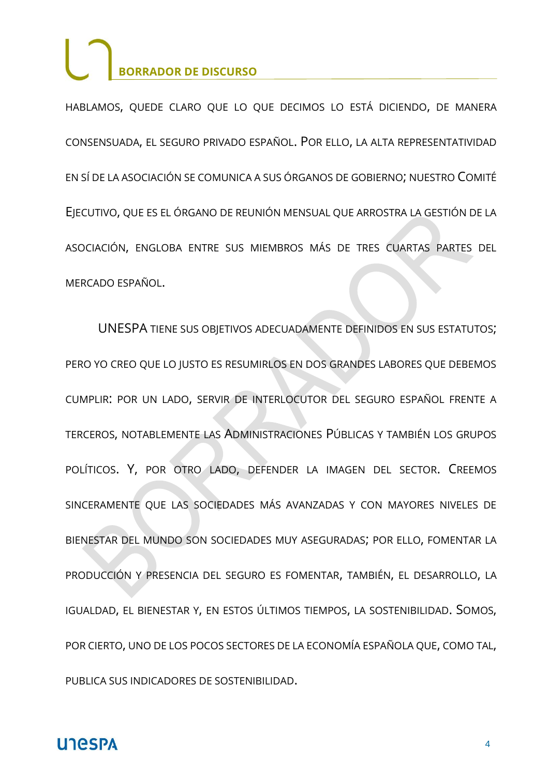HABLAMOS, QUEDE CLARO QUE LO QUE DECIMOS LO ESTÁ DICIENDO, DE MANERA CONSENSUADA, EL SEGURO PRIVADO ESPAÑOL. POR ELLO, LA ALTA REPRESENTATIVIDAD EN SÍ DE LA ASOCIACIÓN SE COMUNICA A SUS ÓRGANOS DE GOBIERNO; NUESTRO COMITÉ EJECUTIVO, QUE ES EL ÓRGANO DE REUNIÓN MENSUAL QUE ARROSTRA LA GESTIÓN DE LA ASOCIACIÓN, ENGLOBA ENTRE SUS MIEMBROS MÁS DE TRES CUARTAS PARTES DEL MERCADO ESPAÑOL.

UNESPA TIENE SUS OBJETIVOS ADECUADAMENTE DEFINIDOS EN SUS ESTATUTOS; PERO YO CREO QUE LO JUSTO ES RESUMIRLOS EN DOS GRANDES LABORES QUE DEBEMOS CUMPLIR: POR UN LADO, SERVIR DE INTERLOCUTOR DEL SEGURO ESPAÑOL FRENTE A TERCEROS, NOTABLEMENTE LAS ADMINISTRACIONES PÚBLICAS Y TAMBIÉN LOS GRUPOS POLÍTICOS. Y, POR OTRO LADO, DEFENDER LA IMAGEN DEL SECTOR. CREEMOS SINCERAMENTE QUE LAS SOCIEDADES MÁS AVANZADAS Y CON MAYORES NIVELES DE BIENESTAR DEL MUNDO SON SOCIEDADES MUY ASEGURADAS; POR ELLO, FOMENTAR LA PRODUCCIÓN Y PRESENCIA DEL SEGURO ES FOMENTAR, TAMBIÉN, EL DESARROLLO, LA IGUALDAD, EL BIENESTAR Y, EN ESTOS ÚLTIMOS TIEMPOS, LA SOSTENIBILIDAD. SOMOS, POR CIERTO, UNO DE LOS POCOS SECTORES DE LA ECONOMÍA ESPAÑOLA QUE, COMO TAL, PUBLICA SUS INDICADORES DE SOSTENIBILIDAD.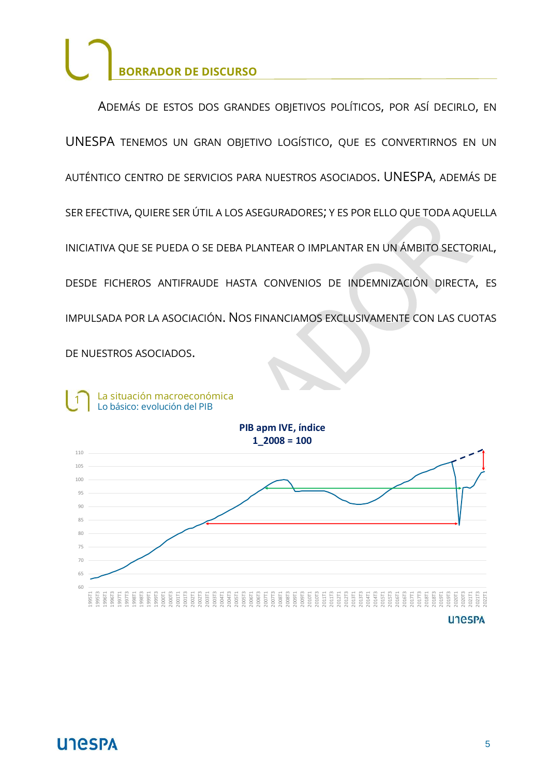ADEMÁS DE ESTOS DOS GRANDES OBJETIVOS POLÍTICOS, POR ASÍ DECIRLO, EN UNESPA TENEMOS UN GRAN OBJETIVO LOGÍSTICO, QUE ES CONVERTIRNOS EN UN AUTÉNTICO CENTRO DE SERVICIOS PARA NUESTROS ASOCIADOS. UNESPA, ADEMÁS DE SER EFECTIVA, QUIERE SER ÚTIL A LOS ASEGURADORES; Y ES POR ELLO QUE TODA AQUELLA INICIATIVA QUE SE PUEDA O SE DEBA PLANTEAR O IMPLANTAR EN UN ÁMBITO SECTORIAL, DESDE FICHEROS ANTIFRAUDE HASTA CONVENIOS DE INDEMNIZACIÓN DIRECTA, ES IMPULSADA POR LA ASOCIACIÓN. NOS FINANCIAMOS EXCLUSIVAMENTE CON LAS CUOTAS DE NUESTROS ASOCIADOS.

La situación macroeconómica  $\mathbf{1}$ Lo básico: evolución del PIB

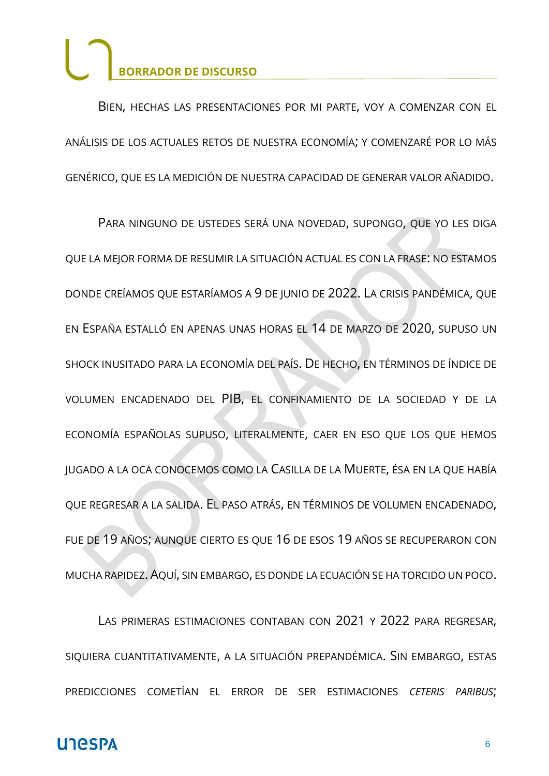BIEN, HECHAS LAS PRESENTACIONES POR MI PARTE, VOY A COMENZAR CON EL ANÁLISIS DE LOS ACTUALES RETOS DE NUESTRA ECONOMÍA; Y COMENZARÉ POR LO MÁS GENÉRICO, QUE ES LA MEDICIÓN DE NUESTRA CAPACIDAD DE GENERAR VALOR AÑADIDO.

PARA NINGUNO DE USTEDES SERÁ UNA NOVEDAD, SUPONGO, QUE YO LES DIGA QUE LA MEJOR FORMA DE RESUMIR LA SITUACIÓN ACTUAL ES CON LA FRASE: NO ESTAMOS DONDE CREÍAMOS QUE ESTARÍAMOS A 9 DE JUNIO DE 2022. LA CRISIS PANDÉMICA, QUE EN ESPAÑA ESTALLÓ EN APENAS UNAS HORAS EL 14 DE MARZO DE 2020, SUPUSO UN SHOCK INUSITADO PARA LA ECONOMÍA DEL PAÍS. DE HECHO, EN TÉRMINOS DE ÍNDICE DE VOLUMEN ENCADENADO DEL PIB, EL CONFINAMIENTO DE LA SOCIEDAD Y DE LA ECONOMÍA ESPAÑOLAS SUPUSO, LITERALMENTE, CAER EN ESO QUE LOS QUE HEMOS JUGADO A LA OCA CONOCEMOS COMO LA CASILLA DE LA MUERTE, ÉSA EN LA QUE HABÍA QUE REGRESAR A LA SALIDA. EL PASO ATRÁS, EN TÉRMINOS DE VOLUMEN ENCADENADO, FUE DE 19 AÑOS; AUNQUE CIERTO ES QUE 16 DE ESOS 19 AÑOS SE RECUPERARON CON MUCHA RAPIDEZ. AQUÍ, SIN EMBARGO, ES DONDE LA ECUACIÓN SE HA TORCIDO UN POCO.

LAS PRIMERAS ESTIMACIONES CONTABAN CON 2021 Y 2022 PARA REGRESAR, SIQUIERA CUANTITATIVAMENTE, A LA SITUACIÓN PREPANDÉMICA. SIN EMBARGO, ESTAS PREDICCIONES COMETÍAN EL ERROR DE SER ESTIMACIONES *CETERIS PARIBUS*;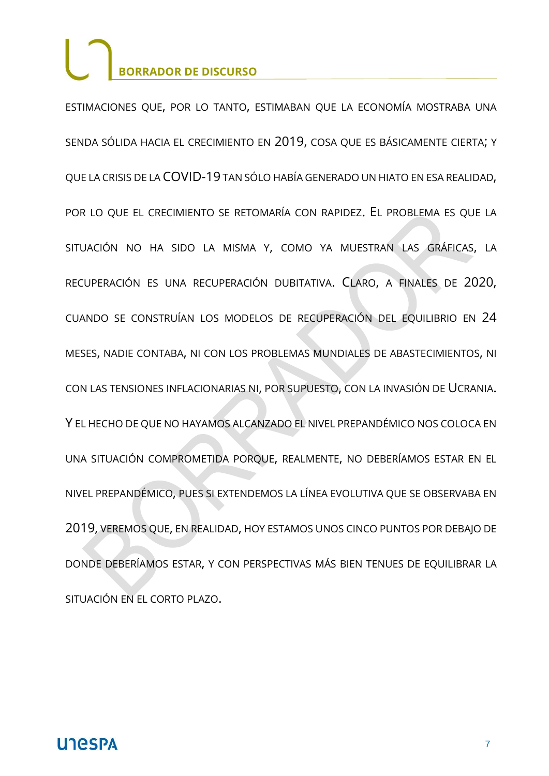ESTIMACIONES QUE, POR LO TANTO, ESTIMABAN QUE LA ECONOMÍA MOSTRABA UNA SENDA SÓLIDA HACIA EL CRECIMIENTO EN 2019, COSA QUE ES BÁSICAMENTE CIERTA; Y QUE LA CRISIS DE LA COVID-19 TAN SÓLO HABÍA GENERADO UN HIATO EN ESA REALIDAD, POR LO QUE EL CRECIMIENTO SE RETOMARÍA CON RAPIDEZ. EL PROBLEMA ES QUE LA SITUACIÓN NO HA SIDO LA MISMA Y, COMO YA MUESTRAN LAS GRÁFICAS, LA RECUPERACIÓN ES UNA RECUPERACIÓN DUBITATIVA. CLARO, A FINALES DE 2020, CUANDO SE CONSTRUÍAN LOS MODELOS DE RECUPERACIÓN DEL EQUILIBRIO EN 24 MESES, NADIE CONTABA, NI CON LOS PROBLEMAS MUNDIALES DE ABASTECIMIENTOS, NI CON LAS TENSIONES INFLACIONARIAS NI, POR SUPUESTO, CON LA INVASIÓN DE UCRANIA. Y EL HECHO DE QUE NO HAYAMOS ALCANZADO EL NIVEL PREPANDÉMICO NOS COLOCA EN UNA SITUACIÓN COMPROMETIDA PORQUE, REALMENTE, NO DEBERÍAMOS ESTAR EN EL NIVEL PREPANDÉMICO, PUES SI EXTENDEMOS LA LÍNEA EVOLUTIVA QUE SE OBSERVABA EN 2019, VEREMOS QUE, EN REALIDAD, HOY ESTAMOS UNOS CINCO PUNTOS POR DEBAJO DE DONDE DEBERÍAMOS ESTAR, Y CON PERSPECTIVAS MÁS BIEN TENUES DE EQUILIBRAR LA SITUACIÓN EN EL CORTO PLAZO.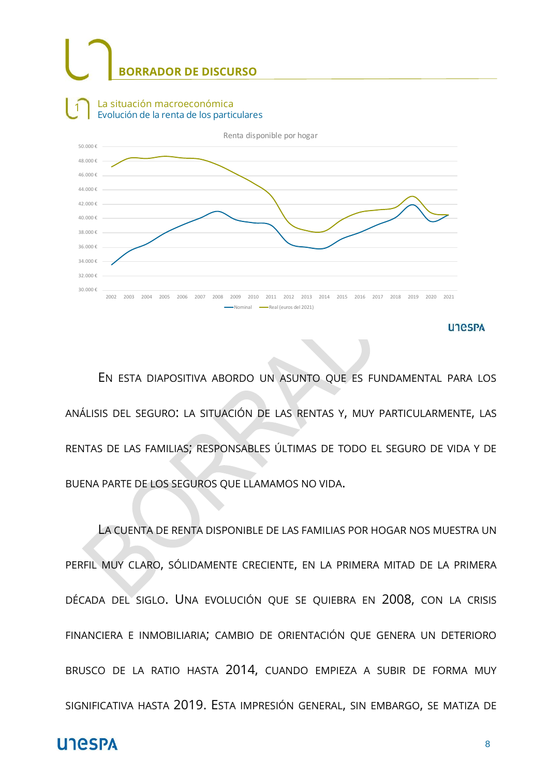

EN ESTA DIAPOSITIVA ABORDO UN ASUNTO QUE ES FUNDAMENTAL PARA LOS ANÁLISIS DEL SEGURO: LA SITUACIÓN DE LAS RENTAS Y, MUY PARTICULARMENTE, LAS RENTAS DE LAS FAMILIAS; RESPONSABLES ÚLTIMAS DE TODO EL SEGURO DE VIDA Y DE BUENA PARTE DE LOS SEGUROS QUE LLAMAMOS NO VIDA.

LA CUENTA DE RENTA DISPONIBLE DE LAS FAMILIAS POR HOGAR NOS MUESTRA UN PERFIL MUY CLARO, SÓLIDAMENTE CRECIENTE, EN LA PRIMERA MITAD DE LA PRIMERA DÉCADA DEL SIGLO. UNA EVOLUCIÓN QUE SE QUIEBRA EN 2008, CON LA CRISIS FINANCIERA E INMOBILIARIA; CAMBIO DE ORIENTACIÓN QUE GENERA UN DETERIORO BRUSCO DE LA RATIO HASTA 2014, CUANDO EMPIEZA A SUBIR DE FORMA MUY SIGNIFICATIVA HASTA 2019. ESTA IMPRESIÓN GENERAL, SIN EMBARGO, SE MATIZA DE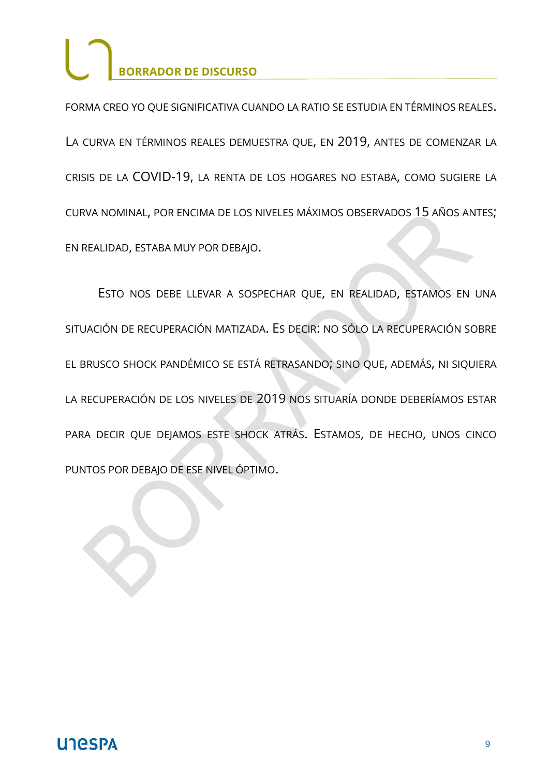FORMA CREO YO QUE SIGNIFICATIVA CUANDO LA RATIO SE ESTUDIA EN TÉRMINOS REALES. LA CURVA EN TÉRMINOS REALES DEMUESTRA QUE, EN 2019, ANTES DE COMENZAR LA CRISIS DE LA COVID-19, LA RENTA DE LOS HOGARES NO ESTABA, COMO SUGIERE LA CURVA NOMINAL, POR ENCIMA DE LOS NIVELES MÁXIMOS OBSERVADOS 15 AÑOS ANTES; EN REALIDAD, ESTABA MUY POR DEBAJO.

ESTO NOS DEBE LLEVAR A SOSPECHAR QUE, EN REALIDAD, ESTAMOS EN UNA SITUACIÓN DE RECUPERACIÓN MATIZADA. ES DECIR: NO SÓLO LA RECUPERACIÓN SOBRE EL BRUSCO SHOCK PANDÉMICO SE ESTÁ RETRASANDO; SINO QUE, ADEMÁS, NI SIQUIERA LA RECUPERACIÓN DE LOS NIVELES DE 2019 NOS SITUARÍA DONDE DEBERÍAMOS ESTAR PARA DECIR QUE DEJAMOS ESTE SHOCK ATRÁS. ESTAMOS, DE HECHO, UNOS CINCO PUNTOS POR DEBAJO DE ESE NIVEL ÓPTIMO.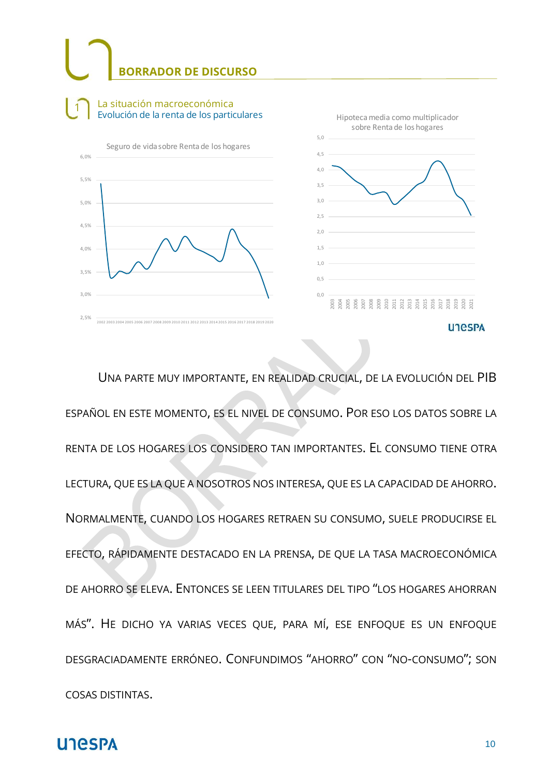#### La situación macroeconómica  $\mathbf{1}$ Evolución de la renta de los particulares





UNA PARTE MUY IMPORTANTE, EN REALIDAD CRUCIAL, DE LA EVOLUCIÓN DEL PIB ESPAÑOL EN ESTE MOMENTO, ES EL NIVEL DE CONSUMO. POR ESO LOS DATOS SOBRE LA RENTA DE LOS HOGARES LOS CONSIDERO TAN IMPORTANTES. EL CONSUMO TIENE OTRA LECTURA, QUE ES LA QUE A NOSOTROS NOS INTERESA, QUE ES LA CAPACIDAD DE AHORRO. NORMALMENTE, CUANDO LOS HOGARES RETRAEN SU CONSUMO, SUELE PRODUCIRSE EL EFECTO, RÁPIDAMENTE DESTACADO EN LA PRENSA, DE QUE LA TASA MACROECONÓMICA DE AHORRO SE ELEVA. ENTONCES SE LEEN TITULARES DEL TIPO "LOS HOGARES AHORRAN MÁS". HE DICHO YA VARIAS VECES QUE, PARA MÍ, ESE ENFOQUE ES UN ENFOQUE DESGRACIADAMENTE ERRÓNEO. CONFUNDIMOS "AHORRO" CON "NO-CONSUMO"; SON COSAS DISTINTAS.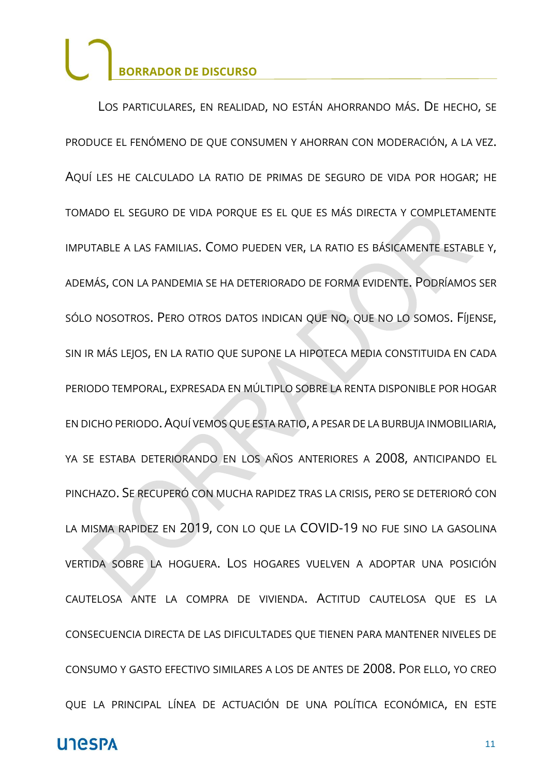LOS PARTICULARES, EN REALIDAD, NO ESTÁN AHORRANDO MÁS. DE HECHO, SE PRODUCE EL FENÓMENO DE QUE CONSUMEN Y AHORRAN CON MODERACIÓN, A LA VEZ. AQUÍ LES HE CALCULADO LA RATIO DE PRIMAS DE SEGURO DE VIDA POR HOGAR; HE TOMADO EL SEGURO DE VIDA PORQUE ES EL QUE ES MÁS DIRECTA Y COMPLETAMENTE IMPUTABLE A LAS FAMILIAS. COMO PUEDEN VER, LA RATIO ES BÁSICAMENTE ESTABLE Y, ADEMÁS, CON LA PANDEMIA SE HA DETERIORADO DE FORMA EVIDENTE. PODRÍAMOS SER SÓLO NOSOTROS. PERO OTROS DATOS INDICAN QUE NO, QUE NO LO SOMOS. FÍJENSE, SIN IR MÁS LEJOS, EN LA RATIO QUE SUPONE LA HIPOTECA MEDIA CONSTITUIDA EN CADA PERIODO TEMPORAL, EXPRESADA EN MÚLTIPLO SOBRE LA RENTA DISPONIBLE POR HOGAR EN DICHO PERIODO. AQUÍ VEMOS QUE ESTA RATIO, A PESAR DE LA BURBUJA INMOBILIARIA, YA SE ESTABA DETERIORANDO EN LOS AÑOS ANTERIORES A 2008, ANTICIPANDO EL PINCHAZO. SE RECUPERÓ CON MUCHA RAPIDEZ TRAS LA CRISIS, PERO SE DETERIORÓ CON LA MISMA RAPIDEZ EN 2019, CON LO QUE LA COVID-19 NO FUE SINO LA GASOLINA VERTIDA SOBRE LA HOGUERA. LOS HOGARES VUELVEN A ADOPTAR UNA POSICIÓN CAUTELOSA ANTE LA COMPRA DE VIVIENDA. ACTITUD CAUTELOSA QUE ES LA CONSECUENCIA DIRECTA DE LAS DIFICULTADES QUE TIENEN PARA MANTENER NIVELES DE CONSUMO Y GASTO EFECTIVO SIMILARES A LOS DE ANTES DE 2008. POR ELLO, YO CREO QUE LA PRINCIPAL LÍNEA DE ACTUACIÓN DE UNA POLÍTICA ECONÓMICA, EN ESTE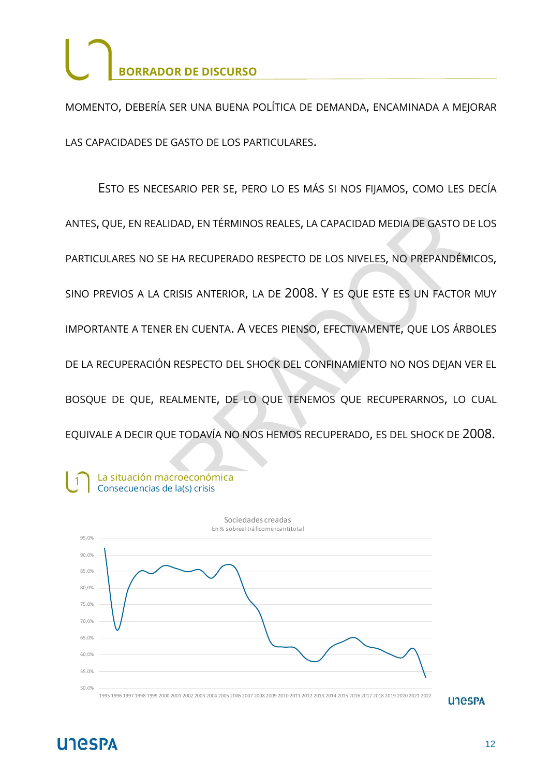MOMENTO, DEBERÍA SER UNA BUENA POLÍTICA DE DEMANDA, ENCAMINADA A MEJORAR LAS CAPACIDADES DE GASTO DE LOS PARTICULARES.

ESTO ES NECESARIO PER SE, PERO LO ES MÁS SI NOS FIJAMOS, COMO LES DECÍA ANTES, QUE, EN REALIDAD, EN TÉRMINOS REALES, LA CAPACIDAD MEDIA DE GASTO DE LOS PARTICULARES NO SE HA RECUPERADO RESPECTO DE LOS NIVELES, NO PREPANDÉMICOS, SINO PREVIOS A LA CRISIS ANTERIOR, LA DE 2008. Y ES QUE ESTE ES UN FACTOR MUY IMPORTANTE A TENER EN CUENTA. A VECES PIENSO, EFECTIVAMENTE, QUE LOS ÁRBOLES DE LA RECUPERACIÓN RESPECTO DEL SHOCK DEL CONFINAMIENTO NO NOS DEJAN VER EL BOSQUE DE QUE, REALMENTE, DE LO QUE TENEMOS QUE RECUPERARNOS, LO CUAL EQUIVALE A DECIR QUE TODAVÍA NO NOS HEMOS RECUPERADO, ES DEL SHOCK DE 2008.



**UTGSPA** 

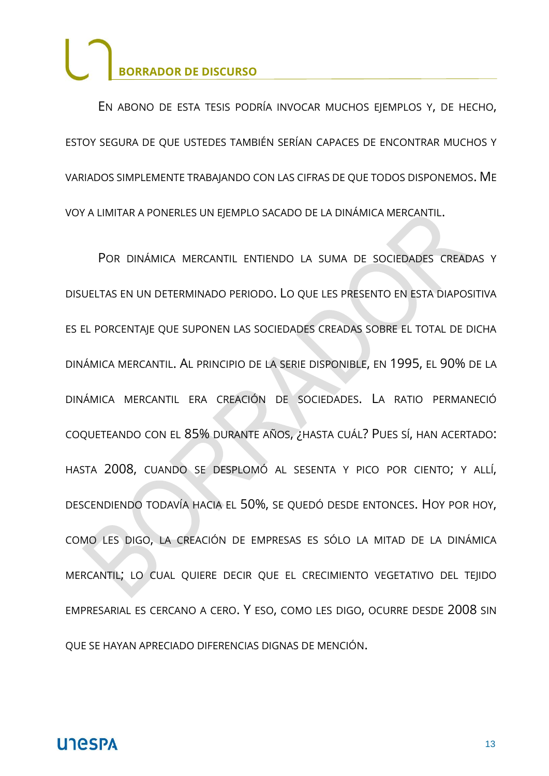EN ABONO DE ESTA TESIS PODRÍA INVOCAR MUCHOS EJEMPLOS Y, DE HECHO, ESTOY SEGURA DE QUE USTEDES TAMBIÉN SERÍAN CAPACES DE ENCONTRAR MUCHOS Y VARIADOS SIMPLEMENTE TRABAJANDO CON LAS CIFRAS DE QUE TODOS DISPONEMOS. ME VOY A LIMITAR A PONERLES UN EJEMPLO SACADO DE LA DINÁMICA MERCANTIL.

POR DINÁMICA MERCANTIL ENTIENDO LA SUMA DE SOCIEDADES CREADAS Y DISUELTAS EN UN DETERMINADO PERIODO. LO QUE LES PRESENTO EN ESTA DIAPOSITIVA ES EL PORCENTAJE QUE SUPONEN LAS SOCIEDADES CREADAS SOBRE EL TOTAL DE DICHA DINÁMICA MERCANTIL. AL PRINCIPIO DE LA SERIE DISPONIBLE, EN 1995, EL 90% DE LA DINÁMICA MERCANTIL ERA CREACIÓN DE SOCIEDADES. LA RATIO PERMANECIÓ COQUETEANDO CON EL 85% DURANTE AÑOS, ¿HASTA CUÁL? PUES SÍ, HAN ACERTADO: HASTA 2008, CUANDO SE DESPLOMÓ AL SESENTA Y PICO POR CIENTO; Y ALLÍ, DESCENDIENDO TODAVÍA HACIA EL 50%, SE QUEDÓ DESDE ENTONCES. HOY POR HOY, COMO LES DIGO, LA CREACIÓN DE EMPRESAS ES SÓLO LA MITAD DE LA DINÁMICA MERCANTIL; LO CUAL QUIERE DECIR QUE EL CRECIMIENTO VEGETATIVO DEL TEJIDO EMPRESARIAL ES CERCANO A CERO. Y ESO, COMO LES DIGO, OCURRE DESDE 2008 SIN QUE SE HAYAN APRECIADO DIFERENCIAS DIGNAS DE MENCIÓN.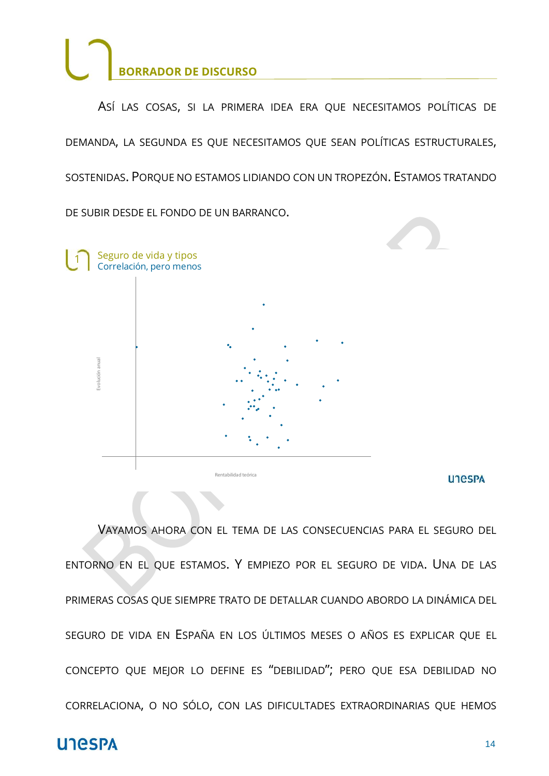

ASÍ LAS COSAS, SI LA PRIMERA IDEA ERA QUE NECESITAMOS POLÍTICAS DE DEMANDA, LA SEGUNDA ES QUE NECESITAMOS QUE SEAN POLÍTICAS ESTRUCTURALES, SOSTENIDAS. PORQUE NO ESTAMOS LIDIANDO CON UN TROPEZÓN. ESTAMOS TRATANDO DE SUBIR DESDE EL FONDO DE UN BARRANCO.

Seguro de vida y tipos  $\mathbf{1}$ Correlación, pero menos volución anual Rentabilidad teórica

**UTGSPA** 

VAYAMOS AHORA CON EL TEMA DE LAS CONSECUENCIAS PARA EL SEGURO DEL ENTORNO EN EL QUE ESTAMOS. Y EMPIEZO POR EL SEGURO DE VIDA. UNA DE LAS PRIMERAS COSAS QUE SIEMPRE TRATO DE DETALLAR CUANDO ABORDO LA DINÁMICA DEL SEGURO DE VIDA EN ESPAÑA EN LOS ÚLTIMOS MESES O AÑOS ES EXPLICAR QUE EL CONCEPTO QUE MEJOR LO DEFINE ES "DEBILIDAD"; PERO QUE ESA DEBILIDAD NO CORRELACIONA, O NO SÓLO, CON LAS DIFICULTADES EXTRAORDINARIAS QUE HEMOS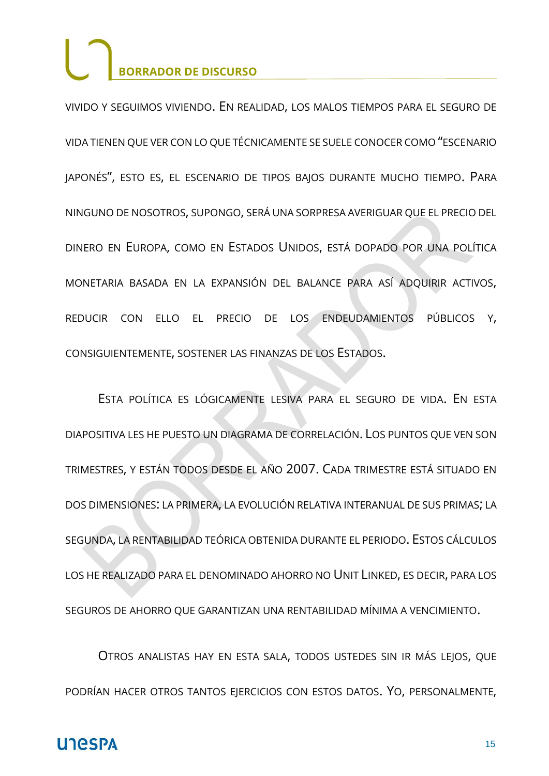VIVIDO Y SEGUIMOS VIVIENDO. EN REALIDAD, LOS MALOS TIEMPOS PARA EL SEGURO DE VIDA TIENEN QUE VER CON LO QUE TÉCNICAMENTE SE SUELE CONOCER COMO "ESCENARIO JAPONÉS", ESTO ES, EL ESCENARIO DE TIPOS BAJOS DURANTE MUCHO TIEMPO. PARA NINGUNO DE NOSOTROS, SUPONGO, SERÁ UNA SORPRESA AVERIGUAR QUE EL PRECIO DEL DINERO EN EUROPA, COMO EN ESTADOS UNIDOS, ESTÁ DOPADO POR UNA POLÍTICA MONETARIA BASADA EN LA EXPANSIÓN DEL BALANCE PARA ASÍ ADQUIRIR ACTIVOS, REDUCIR CON ELLO EL PRECIO DE LOS ENDEUDAMIENTOS PÚBLICOS Y, CONSIGUIENTEMENTE, SOSTENER LAS FINANZAS DE LOS ESTADOS.

ESTA POLÍTICA ES LÓGICAMENTE LESIVA PARA EL SEGURO DE VIDA. EN ESTA DIAPOSITIVA LES HE PUESTO UN DIAGRAMA DE CORRELACIÓN. LOS PUNTOS QUE VEN SON TRIMESTRES, Y ESTÁN TODOS DESDE EL AÑO 2007. CADA TRIMESTRE ESTÁ SITUADO EN DOS DIMENSIONES: LA PRIMERA, LA EVOLUCIÓN RELATIVA INTERANUAL DE SUS PRIMAS; LA SEGUNDA, LA RENTABILIDAD TEÓRICA OBTENIDA DURANTE EL PERIODO. ESTOS CÁLCULOS LOS HE REALIZADO PARA EL DENOMINADO AHORRO NO UNIT LINKED, ES DECIR, PARA LOS SEGUROS DE AHORRO QUE GARANTIZAN UNA RENTABILIDAD MÍNIMA A VENCIMIENTO.

OTROS ANALISTAS HAY EN ESTA SALA, TODOS USTEDES SIN IR MÁS LEJOS, QUE PODRÍAN HACER OTROS TANTOS EJERCICIOS CON ESTOS DATOS. YO, PERSONALMENTE,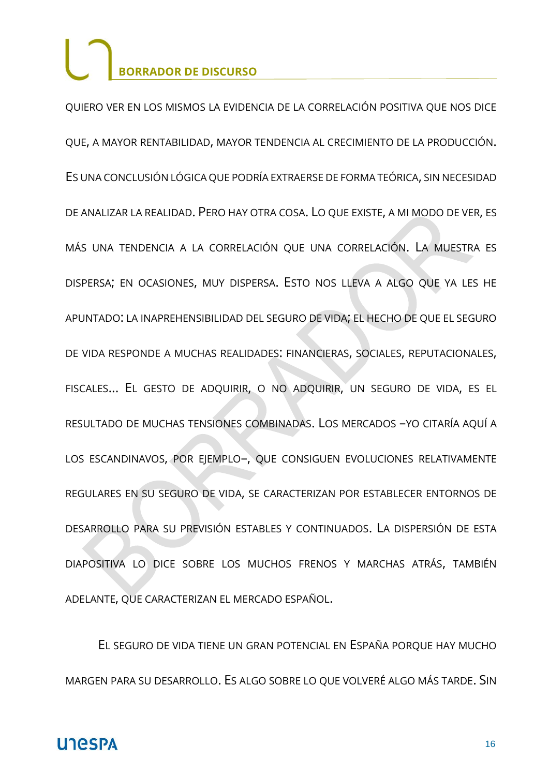QUIERO VER EN LOS MISMOS LA EVIDENCIA DE LA CORRELACIÓN POSITIVA QUE NOS DICE QUE, A MAYOR RENTABILIDAD, MAYOR TENDENCIA AL CRECIMIENTO DE LA PRODUCCIÓN. ES UNA CONCLUSIÓN LÓGICA QUE PODRÍA EXTRAERSE DE FORMA TEÓRICA, SIN NECESIDAD DE ANALIZAR LA REALIDAD. PERO HAY OTRA COSA. LO QUE EXISTE, A MI MODO DE VER, ES MÁS UNA TENDENCIA A LA CORRELACIÓN QUE UNA CORRELACIÓN. LA MUESTRA ES DISPERSA; EN OCASIONES, MUY DISPERSA. ESTO NOS LLEVA A ALGO QUE YA LES HE APUNTADO: LA INAPREHENSIBILIDAD DEL SEGURO DE VIDA; EL HECHO DE QUE EL SEGURO DE VIDA RESPONDE A MUCHAS REALIDADES: FINANCIERAS, SOCIALES, REPUTACIONALES, FISCALES... EL GESTO DE ADQUIRIR, O NO ADQUIRIR, UN SEGURO DE VIDA, ES EL RESULTADO DE MUCHAS TENSIONES COMBINADAS. LOS MERCADOS –YO CITARÍA AQUÍ A LOS ESCANDINAVOS, POR EJEMPLO-, QUE CONSIGUEN EVOLUCIONES RELATIVAMENTE REGULARES EN SU SEGURO DE VIDA, SE CARACTERIZAN POR ESTABLECER ENTORNOS DE DESARROLLO PARA SU PREVISIÓN ESTABLES Y CONTINUADOS. LA DISPERSIÓN DE ESTA DIAPOSITIVA LO DICE SOBRE LOS MUCHOS FRENOS Y MARCHAS ATRÁS, TAMBIÉN ADELANTE, QUE CARACTERIZAN EL MERCADO ESPAÑOL.

EL SEGURO DE VIDA TIENE UN GRAN POTENCIAL EN ESPAÑA PORQUE HAY MUCHO MARGEN PARA SU DESARROLLO. ES ALGO SOBRE LO QUE VOLVERÉ ALGO MÁS TARDE. SIN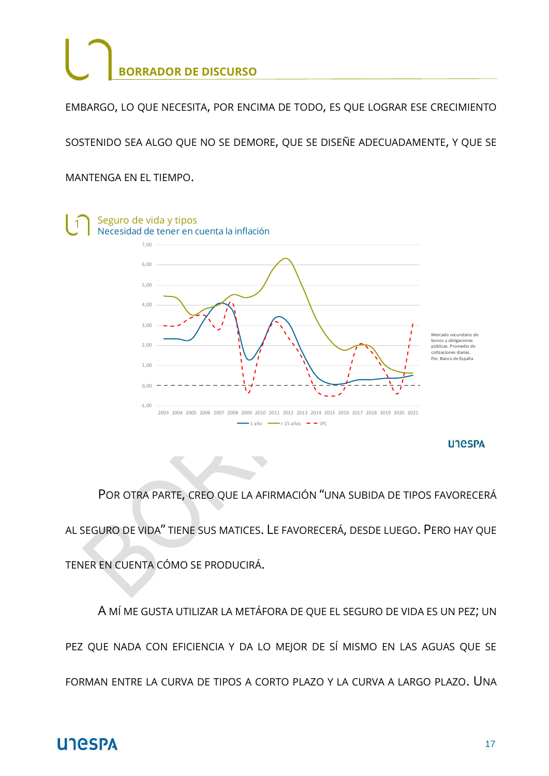EMBARGO, LO QUE NECESITA, POR ENCIMA DE TODO, ES QUE LOGRAR ESE CRECIMIENTO

SOSTENIDO SEA ALGO QUE NO SE DEMORE, QUE SE DISEÑE ADECUADAMENTE, Y QUE SE

MANTENGA EN EL TIEMPO.



POR OTRA PARTE, CREO QUE LA AFIRMACIÓN "UNA SUBIDA DE TIPOS FAVORECERÁ AL SEGURO DE VIDA" TIENE SUS MATICES. LE FAVORECERÁ, DESDE LUEGO. PERO HAY QUE TENER EN CUENTA CÓMO SE PRODUCIRÁ.

A MÍ ME GUSTA UTILIZAR LA METÁFORA DE QUE EL SEGURO DE VIDA ES UN PEZ; UN PEZ QUE NADA CON EFICIENCIA Y DA LO MEJOR DE SÍ MISMO EN LAS AGUAS QUE SE FORMAN ENTRE LA CURVA DE TIPOS A CORTO PLAZO Y LA CURVA A LARGO PLAZO. UNA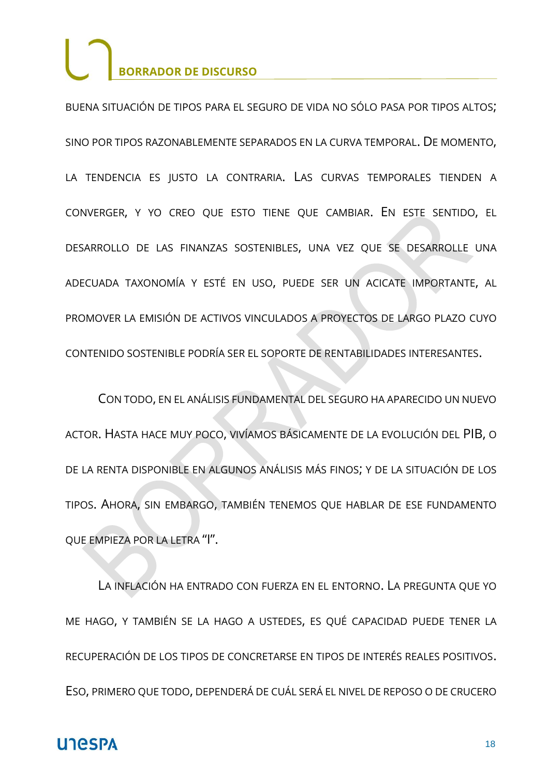BUENA SITUACIÓN DE TIPOS PARA EL SEGURO DE VIDA NO SÓLO PASA POR TIPOS ALTOS; SINO POR TIPOS RAZONABLEMENTE SEPARADOS EN LA CURVA TEMPORAL. DE MOMENTO, LA TENDENCIA ES JUSTO LA CONTRARIA. LAS CURVAS TEMPORALES TIENDEN A CONVERGER, Y YO CREO QUE ESTO TIENE QUE CAMBIAR. EN ESTE SENTIDO, EL DESARROLLO DE LAS FINANZAS SOSTENIBLES, UNA VEZ QUE SE DESARROLLE UNA ADECUADA TAXONOMÍA Y ESTÉ EN USO, PUEDE SER UN ACICATE IMPORTANTE, AL PROMOVER LA EMISIÓN DE ACTIVOS VINCULADOS A PROYECTOS DE LARGO PLAZO CUYO CONTENIDO SOSTENIBLE PODRÍA SER EL SOPORTE DE RENTABILIDADES INTERESANTES.

CON TODO, EN EL ANÁLISIS FUNDAMENTAL DEL SEGURO HA APARECIDO UN NUEVO ACTOR. HASTA HACE MUY POCO, VIVÍAMOS BÁSICAMENTE DE LA EVOLUCIÓN DEL PIB, O DE LA RENTA DISPONIBLE EN ALGUNOS ANÁLISIS MÁS FINOS; Y DE LA SITUACIÓN DE LOS TIPOS. AHORA, SIN EMBARGO, TAMBIÉN TENEMOS QUE HABLAR DE ESE FUNDAMENTO QUE EMPIEZA POR LA LETRA "I".

LA INFLACIÓN HA ENTRADO CON FUERZA EN EL ENTORNO. LA PREGUNTA QUE YO ME HAGO, Y TAMBIÉN SE LA HAGO A USTEDES, ES QUÉ CAPACIDAD PUEDE TENER LA RECUPERACIÓN DE LOS TIPOS DE CONCRETARSE EN TIPOS DE INTERÉS REALES POSITIVOS. ESO, PRIMERO QUE TODO, DEPENDERÁ DE CUÁL SERÁ EL NIVEL DE REPOSO O DE CRUCERO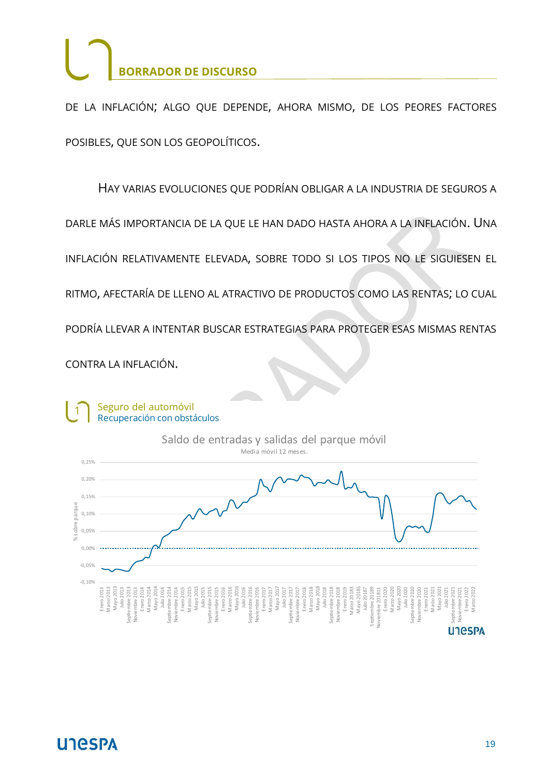DE LA INFLACIÓN; ALGO QUE DEPENDE, AHORA MISMO, DE LOS PEORES FACTORES POSIBLES, QUE SON LOS GEOPOLÍTICOS.

HAY VARIAS EVOLUCIONES QUE PODRÍAN OBLIGAR A LA INDUSTRIA DE SEGUROS A

DARLE MÁS IMPORTANCIA DE LA QUE LE HAN DADO HASTA AHORA A LA INFLACIÓN. UNA

INFLACIÓN RELATIVAMENTE ELEVADA, SOBRE TODO SI LOS TIPOS NO LE SIGUIESEN EL

RITMO, AFECTARÍA DE LLENO AL ATRACTIVO DE PRODUCTOS COMO LAS RENTAS; LO CUAL

PODRÍA LLEVAR A INTENTAR BUSCAR ESTRATEGIAS PARA PROTEGER ESAS MISMAS RENTAS

CONTRA LA INFLACIÓN.

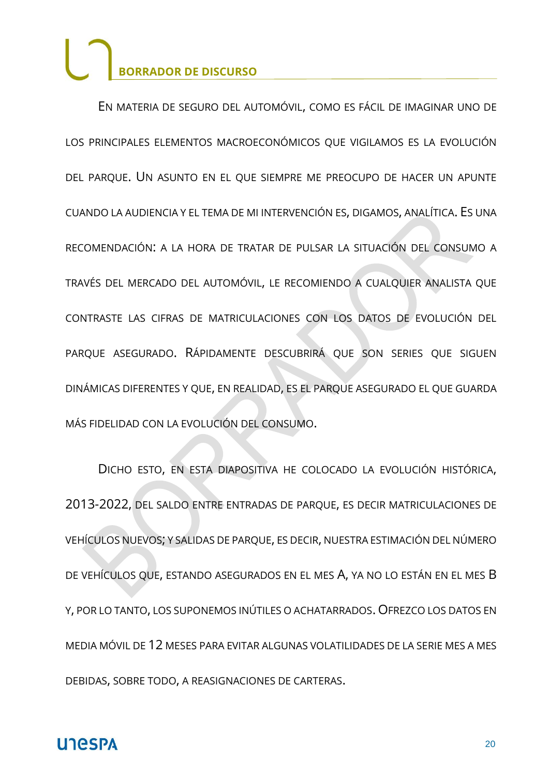EN MATERIA DE SEGURO DEL AUTOMÓVIL, COMO ES FÁCIL DE IMAGINAR UNO DE LOS PRINCIPALES ELEMENTOS MACROECONÓMICOS QUE VIGILAMOS ES LA EVOLUCIÓN DEL PARQUE. UN ASUNTO EN EL QUE SIEMPRE ME PREOCUPO DE HACER UN APUNTE CUANDO LA AUDIENCIA Y EL TEMA DE MI INTERVENCIÓN ES, DIGAMOS, ANALÍTICA. ES UNA RECOMENDACIÓN: A LA HORA DE TRATAR DE PULSAR LA SITUACIÓN DEL CONSUMO A TRAVÉS DEL MERCADO DEL AUTOMÓVIL, LE RECOMIENDO A CUALQUIER ANALISTA QUE CONTRASTE LAS CIFRAS DE MATRICULACIONES CON LOS DATOS DE EVOLUCIÓN DEL PARQUE ASEGURADO. RÁPIDAMENTE DESCUBRIRÁ QUE SON SERIES QUE SIGUEN DINÁMICAS DIFERENTES Y QUE, EN REALIDAD, ES EL PARQUE ASEGURADO EL QUE GUARDA MÁS FIDELIDAD CON LA EVOLUCIÓN DEL CONSUMO.

DICHO ESTO, EN ESTA DIAPOSITIVA HE COLOCADO LA EVOLUCIÓN HISTÓRICA, 2013-2022, DEL SALDO ENTRE ENTRADAS DE PARQUE, ES DECIR MATRICULACIONES DE VEHÍCULOS NUEVOS; Y SALIDAS DE PARQUE, ES DECIR, NUESTRA ESTIMACIÓN DEL NÚMERO DE VEHÍCULOS QUE, ESTANDO ASEGURADOS EN EL MES A, YA NO LO ESTÁN EN EL MES B Y, POR LO TANTO, LOS SUPONEMOS INÚTILES O ACHATARRADOS. OFREZCO LOS DATOS EN MEDIA MÓVIL DE 12 MESES PARA EVITAR ALGUNAS VOLATILIDADES DE LA SERIE MES A MES DEBIDAS, SOBRE TODO, A REASIGNACIONES DE CARTERAS.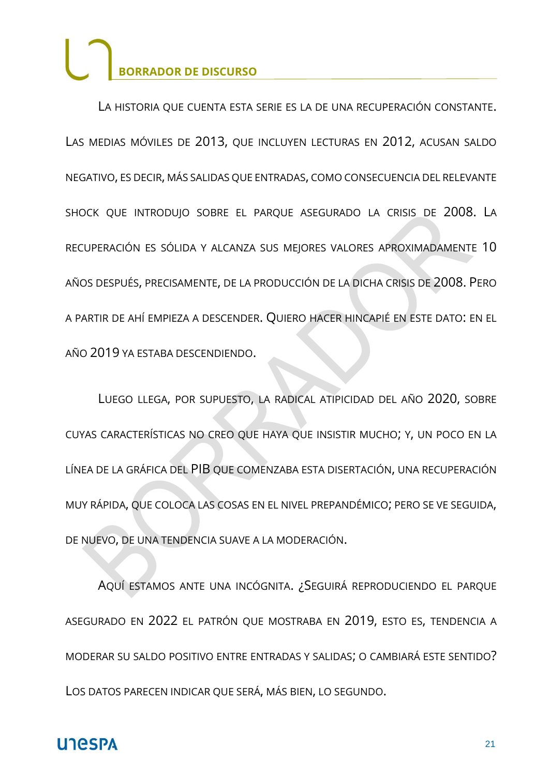LA HISTORIA QUE CUENTA ESTA SERIE ES LA DE UNA RECUPERACIÓN CONSTANTE. LAS MEDIAS MÓVILES DE 2013, QUE INCLUYEN LECTURAS EN 2012, ACUSAN SALDO NEGATIVO, ES DECIR, MÁS SALIDAS QUE ENTRADAS, COMO CONSECUENCIA DEL RELEVANTE SHOCK QUE INTRODUJO SOBRE EL PARQUE ASEGURADO LA CRISIS DE 2008. LA RECUPERACIÓN ES SÓLIDA Y ALCANZA SUS MEJORES VALORES APROXIMADAMENTE 10 AÑOS DESPUÉS, PRECISAMENTE, DE LA PRODUCCIÓN DE LA DICHA CRISIS DE 2008. PERO A PARTIR DE AHÍ EMPIEZA A DESCENDER. QUIERO HACER HINCAPIÉ EN ESTE DATO: EN EL AÑO 2019 YA ESTABA DESCENDIENDO.

LUEGO LLEGA, POR SUPUESTO, LA RADICAL ATIPICIDAD DEL AÑO 2020, SOBRE CUYAS CARACTERÍSTICAS NO CREO QUE HAYA QUE INSISTIR MUCHO; Y, UN POCO EN LA LÍNEA DE LA GRÁFICA DEL PIB QUE COMENZABA ESTA DISERTACIÓN, UNA RECUPERACIÓN MUY RÁPIDA, QUE COLOCA LAS COSAS EN EL NIVEL PREPANDÉMICO; PERO SE VE SEGUIDA, DE NUEVO, DE UNA TENDENCIA SUAVE A LA MODERACIÓN.

AQUÍ ESTAMOS ANTE UNA INCÓGNITA. ¿SEGUIRÁ REPRODUCIENDO EL PARQUE ASEGURADO EN 2022 EL PATRÓN QUE MOSTRABA EN 2019, ESTO ES, TENDENCIA A MODERAR SU SALDO POSITIVO ENTRE ENTRADAS Y SALIDAS; O CAMBIARÁ ESTE SENTIDO? LOS DATOS PARECEN INDICAR QUE SERÁ, MÁS BIEN, LO SEGUNDO.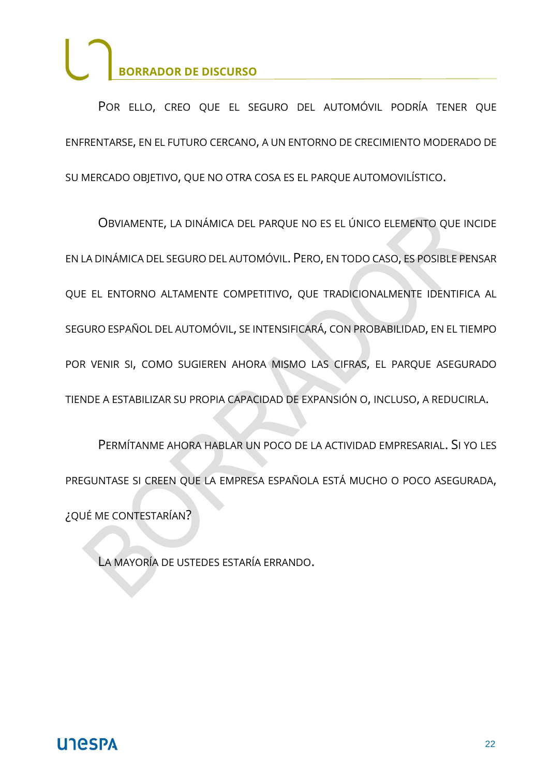POR ELLO, CREO QUE EL SEGURO DEL AUTOMÓVIL PODRÍA TENER QUE ENFRENTARSE, EN EL FUTURO CERCANO, A UN ENTORNO DE CRECIMIENTO MODERADO DE SU MERCADO OBJETIVO, QUE NO OTRA COSA ES EL PARQUE AUTOMOVILÍSTICO.

OBVIAMENTE, LA DINÁMICA DEL PARQUE NO ES EL ÚNICO ELEMENTO QUE INCIDE EN LA DINÁMICA DEL SEGURO DEL AUTOMÓVIL. PERO, EN TODO CASO, ES POSIBLE PENSAR QUE EL ENTORNO ALTAMENTE COMPETITIVO, QUE TRADICIONALMENTE IDENTIFICA AL SEGURO ESPAÑOL DEL AUTOMÓVIL, SE INTENSIFICARÁ, CON PROBABILIDAD, EN EL TIEMPO POR VENIR SI, COMO SUGIEREN AHORA MISMO LAS CIFRAS, EL PARQUE ASEGURADO TIENDE A ESTABILIZAR SU PROPIA CAPACIDAD DE EXPANSIÓN O, INCLUSO, A REDUCIRLA.

PERMÍTANME AHORA HABLAR UN POCO DE LA ACTIVIDAD EMPRESARIAL. SI YO LES PREGUNTASE SI CREEN QUE LA EMPRESA ESPAÑOLA ESTÁ MUCHO O POCO ASEGURADA, ¿QUÉ ME CONTESTARÍAN?

LA MAYORÍA DE USTEDES ESTARÍA ERRANDO.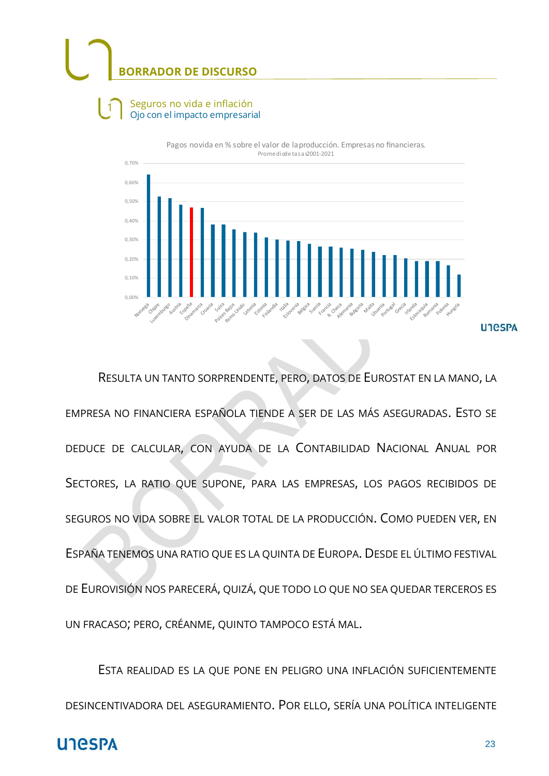$\mathbf{1}$ 





RESULTA UN TANTO SORPRENDENTE, PERO, DATOS DE EUROSTAT EN LA MANO, LA EMPRESA NO FINANCIERA ESPAÑOLA TIENDE A SER DE LAS MÁS ASEGURADAS. ESTO SE DEDUCE DE CALCULAR, CON AYUDA DE LA CONTABILIDAD NACIONAL ANUAL POR SECTORES, LA RATIO QUE SUPONE, PARA LAS EMPRESAS, LOS PAGOS RECIBIDOS DE SEGUROS NO VIDA SOBRE EL VALOR TOTAL DE LA PRODUCCIÓN. COMO PUEDEN VER, EN ESPAÑA TENEMOS UNA RATIO QUE ES LA QUINTA DE EUROPA. DESDE EL ÚLTIMO FESTIVAL DE EUROVISIÓN NOS PARECERÁ, QUIZÁ, QUE TODO LO QUE NO SEA QUEDAR TERCEROS ES UN FRACASO; PERO, CRÉANME, QUINTO TAMPOCO ESTÁ MAL.

ESTA REALIDAD ES LA QUE PONE EN PELIGRO UNA INFLACIÓN SUFICIENTEMENTE DESINCENTIVADORA DEL ASEGURAMIENTO. POR ELLO, SERÍA UNA POLÍTICA INTELIGENTE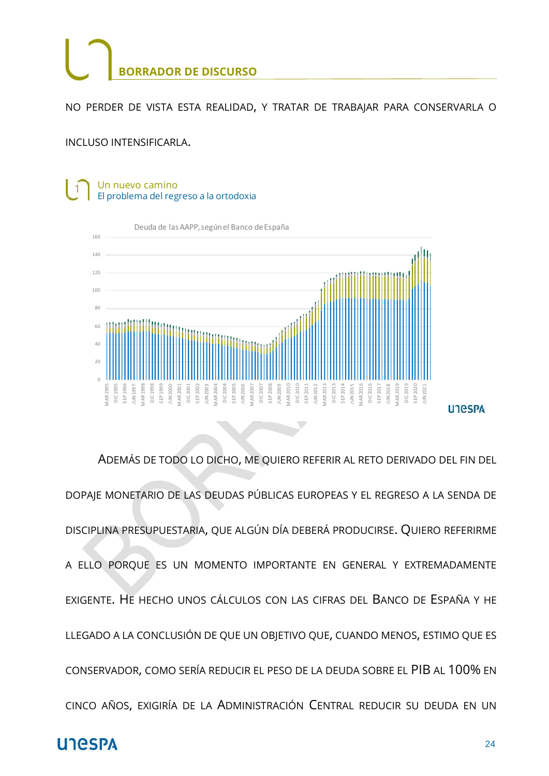NO PERDER DE VISTA ESTA REALIDAD, Y TRATAR DE TRABAJAR PARA CONSERVARLA O

INCLUSO INTENSIFICARLA.

#### Un nuevo camino  $\mathbf{1}$ El problema del regreso a la ortodoxia



ADEMÁS DE TODO LO DICHO, ME QUIERO REFERIR AL RETO DERIVADO DEL FIN DEL DOPAJE MONETARIO DE LAS DEUDAS PÚBLICAS EUROPEAS Y EL REGRESO A LA SENDA DE DISCIPLINA PRESUPUESTARIA, QUE ALGÚN DÍA DEBERÁ PRODUCIRSE. QUIERO REFERIRME A ELLO PORQUE ES UN MOMENTO IMPORTANTE EN GENERAL Y EXTREMADAMENTE EXIGENTE. HE HECHO UNOS CÁLCULOS CON LAS CIFRAS DEL BANCO DE ESPAÑA Y HE LLEGADO A LA CONCLUSIÓN DE QUE UN OBJETIVO QUE, CUANDO MENOS, ESTIMO QUE ES CONSERVADOR, COMO SERÍA REDUCIR EL PESO DE LA DEUDA SOBRE EL PIB AL 100% EN CINCO AÑOS, EXIGIRÍA DE LA ADMINISTRACIÓN CENTRAL REDUCIR SU DEUDA EN UN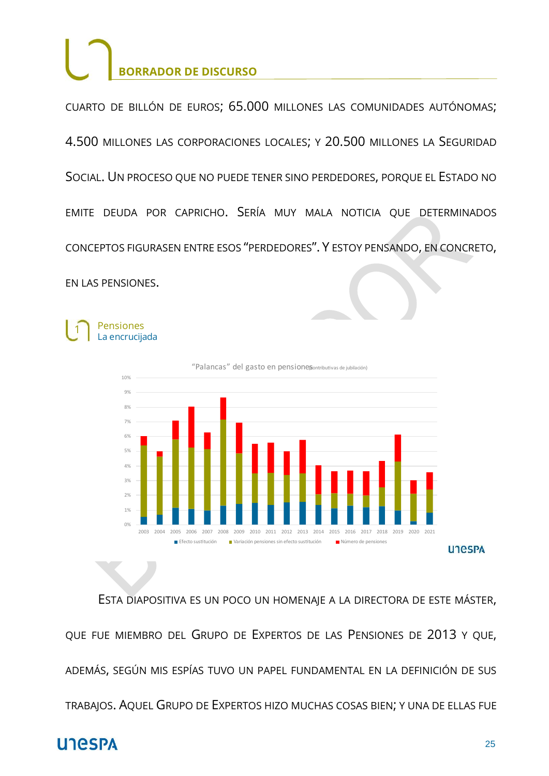CUARTO DE BILLÓN DE EUROS; 65.000 MILLONES LAS COMUNIDADES AUTÓNOMAS; 4.500 MILLONES LAS CORPORACIONES LOCALES; Y 20.500 MILLONES LA SEGURIDAD SOCIAL. UN PROCESO QUE NO PUEDE TENER SINO PERDEDORES, PORQUE EL ESTADO NO EMITE DEUDA POR CAPRICHO. SERÍA MUY MALA NOTICIA QUE DETERMINADOS CONCEPTOS FIGURASEN ENTRE ESOS "PERDEDORES". Y ESTOY PENSANDO, EN CONCRETO, EN LAS PENSIONES.

Pensiones  $\mathbf{1}$ La encrucijada



ESTA DIAPOSITIVA ES UN POCO UN HOMENAJE A LA DIRECTORA DE ESTE MÁSTER, QUE FUE MIEMBRO DEL GRUPO DE EXPERTOS DE LAS PENSIONES DE 2013 Y QUE, ADEMÁS, SEGÚN MIS ESPÍAS TUVO UN PAPEL FUNDAMENTAL EN LA DEFINICIÓN DE SUS TRABAJOS. AQUEL GRUPO DE EXPERTOS HIZO MUCHAS COSAS BIEN; Y UNA DE ELLAS FUE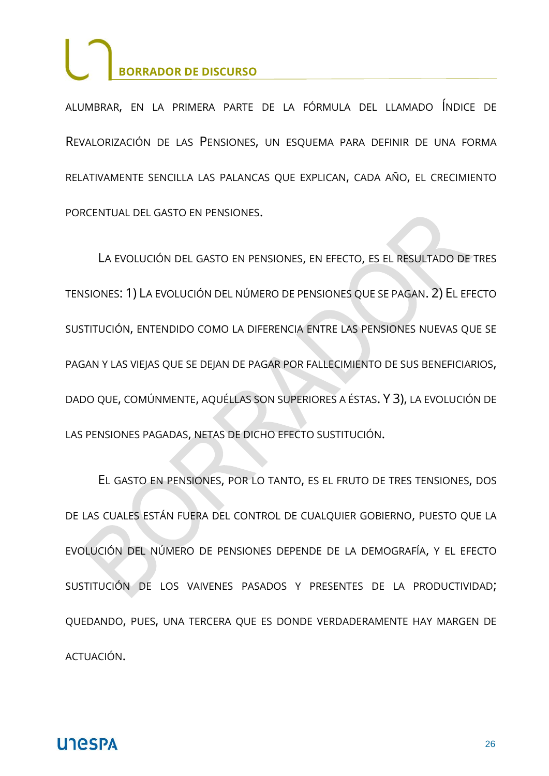ALUMBRAR, EN LA PRIMERA PARTE DE LA FÓRMULA DEL LLAMADO ÍNDICE DE REVALORIZACIÓN DE LAS PENSIONES, UN ESQUEMA PARA DEFINIR DE UNA FORMA RELATIVAMENTE SENCILLA LAS PALANCAS QUE EXPLICAN, CADA AÑO, EL CRECIMIENTO PORCENTUAL DEL GASTO EN PENSIONES.

LA EVOLUCIÓN DEL GASTO EN PENSIONES, EN EFECTO, ES EL RESULTADO DE TRES TENSIONES: 1) LA EVOLUCIÓN DEL NÚMERO DE PENSIONES QUE SE PAGAN. 2) EL EFECTO SUSTITUCIÓN, ENTENDIDO COMO LA DIFERENCIA ENTRE LAS PENSIONES NUEVAS QUE SE PAGAN Y LAS VIEJAS QUE SE DEJAN DE PAGAR POR FALLECIMIENTO DE SUS BENEFICIARIOS, DADO QUE, COMÚNMENTE, AQUÉLLAS SON SUPERIORES A ÉSTAS. Y 3), LA EVOLUCIÓN DE LAS PENSIONES PAGADAS, NETAS DE DICHO EFECTO SUSTITUCIÓN.

EL GASTO EN PENSIONES, POR LO TANTO, ES EL FRUTO DE TRES TENSIONES, DOS DE LAS CUALES ESTÁN FUERA DEL CONTROL DE CUALQUIER GOBIERNO, PUESTO QUE LA EVOLUCIÓN DEL NÚMERO DE PENSIONES DEPENDE DE LA DEMOGRAFÍA, Y EL EFECTO SUSTITUCIÓN DE LOS VAIVENES PASADOS Y PRESENTES DE LA PRODUCTIVIDAD; QUEDANDO, PUES, UNA TERCERA QUE ES DONDE VERDADERAMENTE HAY MARGEN DE ACTUACIÓN.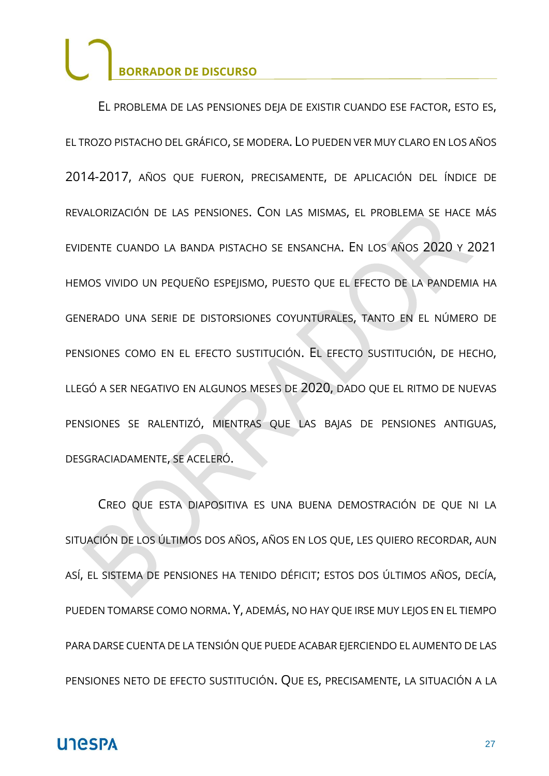EL PROBLEMA DE LAS PENSIONES DEJA DE EXISTIR CUANDO ESE FACTOR, ESTO ES, EL TROZO PISTACHO DEL GRÁFICO, SE MODERA. LO PUEDEN VER MUY CLARO EN LOS AÑOS 2014-2017, AÑOS QUE FUERON, PRECISAMENTE, DE APLICACIÓN DEL ÍNDICE DE REVALORIZACIÓN DE LAS PENSIONES. CON LAS MISMAS, EL PROBLEMA SE HACE MÁS EVIDENTE CUANDO LA BANDA PISTACHO SE ENSANCHA. EN LOS AÑOS 2020 Y 2021 HEMOS VIVIDO UN PEQUEÑO ESPEJISMO, PUESTO QUE EL EFECTO DE LA PANDEMIA HA GENERADO UNA SERIE DE DISTORSIONES COYUNTURALES, TANTO EN EL NÚMERO DE PENSIONES COMO EN EL EFECTO SUSTITUCIÓN. EL EFECTO SUSTITUCIÓN, DE HECHO, LLEGÓ A SER NEGATIVO EN ALGUNOS MESES DE 2020, DADO QUE EL RITMO DE NUEVAS PENSIONES SE RALENTIZÓ, MIENTRAS QUE LAS BAJAS DE PENSIONES ANTIGUAS, DESGRACIADAMENTE, SE ACELERÓ.

CREO QUE ESTA DIAPOSITIVA ES UNA BUENA DEMOSTRACIÓN DE QUE NI LA SITUACIÓN DE LOS ÚLTIMOS DOS AÑOS, AÑOS EN LOS QUE, LES QUIERO RECORDAR, AUN ASÍ, EL SISTEMA DE PENSIONES HA TENIDO DÉFICIT; ESTOS DOS ÚLTIMOS AÑOS, DECÍA, PUEDEN TOMARSE COMO NORMA. Y, ADEMÁS, NO HAY QUE IRSE MUY LEJOS EN EL TIEMPO PARA DARSE CUENTA DE LA TENSIÓN QUE PUEDE ACABAR EJERCIENDO EL AUMENTO DE LAS PENSIONES NETO DE EFECTO SUSTITUCIÓN. QUE ES, PRECISAMENTE, LA SITUACIÓN A LA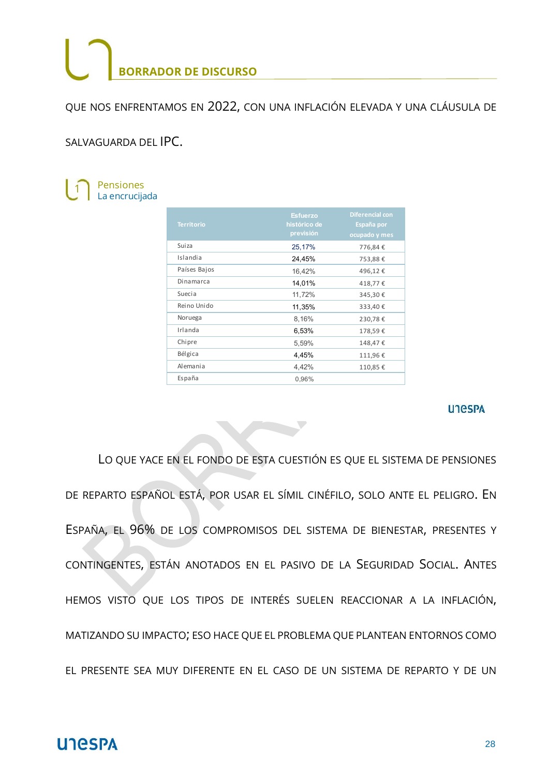QUE NOS ENFRENTAMOS EN 2022, CON UNA INFLACIÓN ELEVADA Y UNA CLÁUSULA DE

SALVAGUARDA DEL IPC.



| <b>Territorio</b> | <b>Esfuerzo</b><br>histórico de<br>previsión | <b>Diferencial con</b><br>España por<br>ocupado y mes |
|-------------------|----------------------------------------------|-------------------------------------------------------|
| Suiza             | 25,17%                                       | 776,84€                                               |
| Islandia          | 24,45%                                       | 753,88€                                               |
| Países Bajos      | 16,42%                                       | 496,12€                                               |
| Dinamarca         | 14,01%                                       | 418,77€                                               |
| Suecia            | 11,72%                                       | 345,30€                                               |
| Reino Unido       | 11,35%                                       | 333,40€                                               |
| Noruega           | 8,16%                                        | 230,78€                                               |
| Irlanda           | 6,53%                                        | 178,59€                                               |
| Chipre            | 5,59%                                        | 148,47€                                               |
| Bélgica           | 4,45%                                        | 111,96€                                               |
| Alemania          | 4,42%                                        | 110,85€                                               |
| España            | 0,96%                                        |                                                       |

#### **UTGSPA**

LO QUE YACE EN EL FONDO DE ESTA CUESTIÓN ES QUE EL SISTEMA DE PENSIONES DE REPARTO ESPAÑOL ESTÁ, POR USAR EL SÍMIL CINÉFILO, SOLO ANTE EL PELIGRO. EN ESPAÑA, EL 96% DE LOS COMPROMISOS DEL SISTEMA DE BIENESTAR, PRESENTES Y CONTINGENTES, ESTÁN ANOTADOS EN EL PASIVO DE LA SEGURIDAD SOCIAL. ANTES HEMOS VISTO QUE LOS TIPOS DE INTERÉS SUELEN REACCIONAR A LA INFLACIÓN, MATIZANDO SU IMPACTO; ESO HACE QUE EL PROBLEMA QUE PLANTEAN ENTORNOS COMO EL PRESENTE SEA MUY DIFERENTE EN EL CASO DE UN SISTEMA DE REPARTO Y DE UN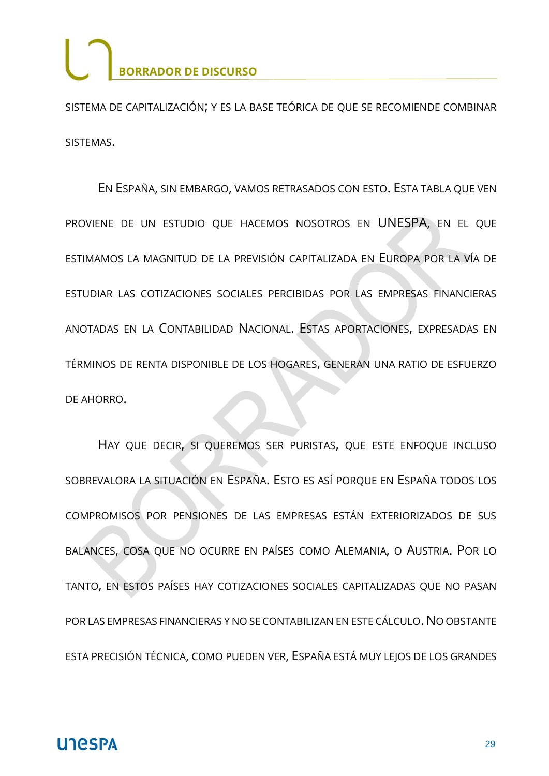SISTEMA DE CAPITALIZACIÓN; Y ES LA BASE TEÓRICA DE QUE SE RECOMIENDE COMBINAR SISTEMAS.

EN ESPAÑA, SIN EMBARGO, VAMOS RETRASADOS CON ESTO. ESTA TABLA QUE VEN PROVIENE DE UN ESTUDIO QUE HACEMOS NOSOTROS EN UNESPA, EN EL QUE ESTIMAMOS LA MAGNITUD DE LA PREVISIÓN CAPITALIZADA EN EUROPA POR LA VÍA DE ESTUDIAR LAS COTIZACIONES SOCIALES PERCIBIDAS POR LAS EMPRESAS FINANCIERAS ANOTADAS EN LA CONTABILIDAD NACIONAL. ESTAS APORTACIONES, EXPRESADAS EN TÉRMINOS DE RENTA DISPONIBLE DE LOS HOGARES, GENERAN UNA RATIO DE ESFUERZO DE AHORRO.

HAY QUE DECIR, SI QUEREMOS SER PURISTAS, QUE ESTE ENFOQUE INCLUSO SOBREVALORA LA SITUACIÓN EN ESPAÑA. ESTO ES ASÍ PORQUE EN ESPAÑA TODOS LOS COMPROMISOS POR PENSIONES DE LAS EMPRESAS ESTÁN EXTERIORIZADOS DE SUS BALANCES, COSA QUE NO OCURRE EN PAÍSES COMO ALEMANIA, O AUSTRIA. POR LO TANTO, EN ESTOS PAÍSES HAY COTIZACIONES SOCIALES CAPITALIZADAS QUE NO PASAN POR LAS EMPRESAS FINANCIERAS Y NO SE CONTABILIZAN EN ESTE CÁLCULO. NO OBSTANTE ESTA PRECISIÓN TÉCNICA, COMO PUEDEN VER, ESPAÑA ESTÁ MUY LEJOS DE LOS GRANDES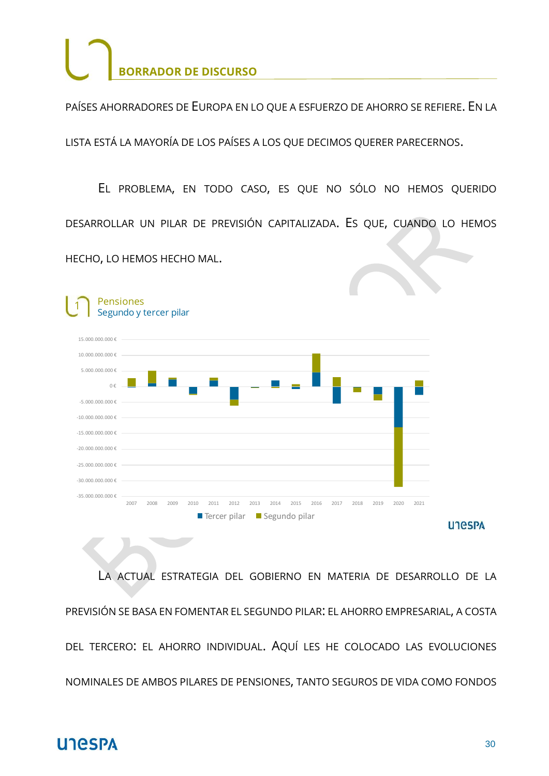PAÍSES AHORRADORES DE EUROPA EN LO QUE A ESFUERZO DE AHORRO SE REFIERE. EN LA

LISTA ESTÁ LA MAYORÍA DE LOS PAÍSES A LOS QUE DECIMOS QUERER PARECERNOS.

EL PROBLEMA, EN TODO CASO, ES QUE NO SÓLO NO HEMOS QUERIDO DESARROLLAR UN PILAR DE PREVISIÓN CAPITALIZADA. ES QUE, CUANDO LO HEMOS HECHO, LO HEMOS HECHO MAL.



LA ACTUAL ESTRATEGIA DEL GOBIERNO EN MATERIA DE DESARROLLO DE LA PREVISIÓN SE BASA EN FOMENTAR EL SEGUNDO PILAR: EL AHORRO EMPRESARIAL, A COSTA DEL TERCERO: EL AHORRO INDIVIDUAL. AQUÍ LES HE COLOCADO LAS EVOLUCIONES NOMINALES DE AMBOS PILARES DE PENSIONES, TANTO SEGUROS DE VIDA COMO FONDOS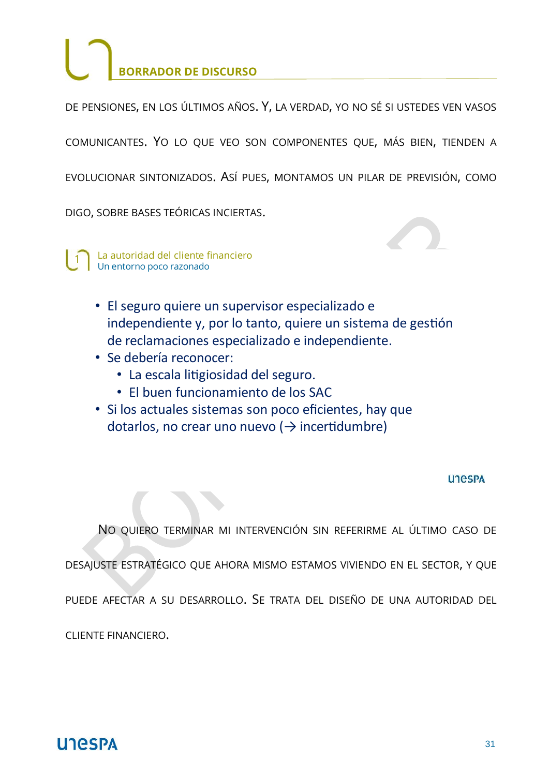DE PENSIONES, EN LOS ÚLTIMOS AÑOS. Y, LA VERDAD, YO NO SÉ SI USTEDES VEN VASOS

COMUNICANTES. YO LO QUE VEO SON COMPONENTES QUE, MÁS BIEN, TIENDEN A

EVOLUCIONAR SINTONIZADOS. ASÍ PUES, MONTAMOS UN PILAR DE PREVISIÓN, COMO

DIGO, SOBRE BASES TEÓRICAS INCIERTAS.

 $\blacksquare$ 1 La autoridad del cliente financiero<br>Un entorno poco razonado

- · El seguro quiere un supervisor especializado e independiente y, por lo tanto, quiere un sistema de gestión de reclamaciones especializado e independiente.
- · Se debería reconocer:
	- · La escala litigiosidad del seguro.
	- · El buen funcionamiento de los SAC
- · Si los actuales sistemas son poco eficientes, hay que dotarlos, no crear uno nuevo ( $\rightarrow$  incertidumbre)

#### **UTGSPA**

NO QUIERO TERMINAR MI INTERVENCIÓN SIN REFERIRME AL ÚLTIMO CASO DE

DESAJUSTE ESTRATÉGICO QUE AHORA MISMO ESTAMOS VIVIENDO EN EL SECTOR, Y QUE

PUEDE AFECTAR A SU DESARROLLO. SE TRATA DEL DISEÑO DE UNA AUTORIDAD DEL

CLIENTE FINANCIERO.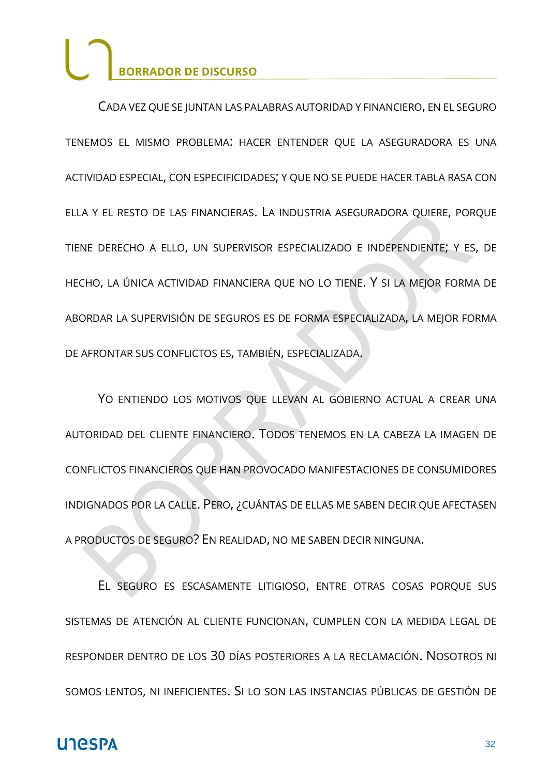CADA VEZ QUE SE JUNTAN LAS PALABRAS AUTORIDAD Y FINANCIERO, EN EL SEGURO TENEMOS EL MISMO PROBLEMA: HACER ENTENDER QUE LA ASEGURADORA ES UNA ACTIVIDAD ESPECIAL, CON ESPECIFICIDADES; Y QUE NO SE PUEDE HACER TABLA RASA CON ELLA Y EL RESTO DE LAS FINANCIERAS. LA INDUSTRIA ASEGURADORA QUIERE, PORQUE TIENE DERECHO A ELLO, UN SUPERVISOR ESPECIALIZADO E INDEPENDIENTE; Y ES, DE HECHO, LA ÚNICA ACTIVIDAD FINANCIERA QUE NO LO TIENE. Y SI LA MEJOR FORMA DE ABORDAR LA SUPERVISIÓN DE SEGUROS ES DE FORMA ESPECIALIZADA, LA MEJOR FORMA DE AFRONTAR SUS CONFLICTOS ES, TAMBIÉN, ESPECIALIZADA.

YO ENTIENDO LOS MOTIVOS QUE LLEVAN AL GOBIERNO ACTUAL A CREAR UNA AUTORIDAD DEL CLIENTE FINANCIERO. TODOS TENEMOS EN LA CABEZA LA IMAGEN DE CONFLICTOS FINANCIEROS QUE HAN PROVOCADO MANIFESTACIONES DE CONSUMIDORES INDIGNADOS POR LA CALLE. PERO, ¿CUÁNTAS DE ELLAS ME SABEN DECIR QUE AFECTASEN A PRODUCTOS DE SEGURO? EN REALIDAD, NO ME SABEN DECIR NINGUNA.

EL SEGURO ES ESCASAMENTE LITIGIOSO, ENTRE OTRAS COSAS PORQUE SUS SISTEMAS DE ATENCIÓN AL CLIENTE FUNCIONAN, CUMPLEN CON LA MEDIDA LEGAL DE RESPONDER DENTRO DE LOS 30 DÍAS POSTERIORES A LA RECLAMACIÓN. NOSOTROS NI SOMOS LENTOS, NI INEFICIENTES. SI LO SON LAS INSTANCIAS PÚBLICAS DE GESTIÓN DE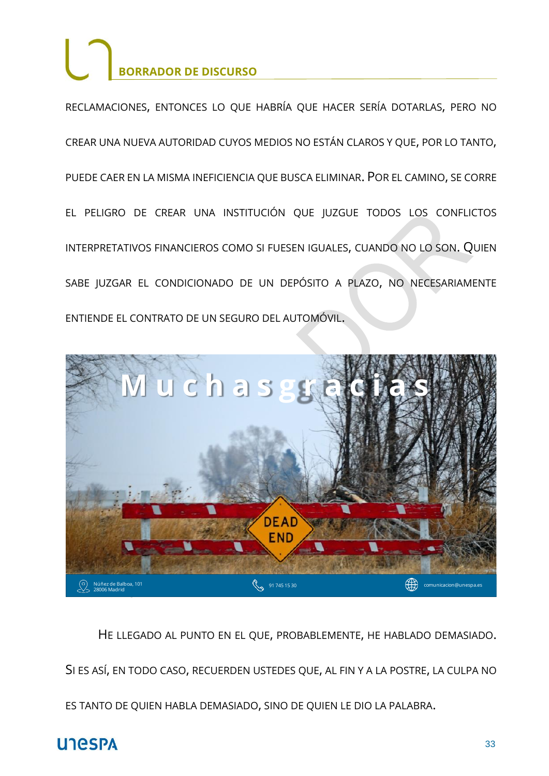RECLAMACIONES, ENTONCES LO QUE HABRÍA QUE HACER SERÍA DOTARLAS, PERO NO CREAR UNA NUEVA AUTORIDAD CUYOS MEDIOS NO ESTÁN CLAROS Y QUE, POR LO TANTO, PUEDE CAER EN LA MISMA INEFICIENCIA QUE BUSCA ELIMINAR. POR EL CAMINO, SE CORRE EL PELIGRO DE CREAR UNA INSTITUCIÓN QUE JUZGUE TODOS LOS CONFLICTOS INTERPRETATIVOS FINANCIEROS COMO SI FUESEN IGUALES, CUANDO NO LO SON. QUIEN SABE JUZGAR EL CONDICIONADO DE UN DEPÓSITO A PLAZO, NO NECESARIAMENTE ENTIENDE EL CONTRATO DE UN SEGURO DEL AUTOMÓVIL.



HE LLEGADO AL PUNTO EN EL QUE, PROBABLEMENTE, HE HABLADO DEMASIADO.

SI ES ASÍ, EN TODO CASO, RECUERDEN USTEDES QUE, AL FIN Y A LA POSTRE, LA CULPA NO

ES TANTO DE QUIEN HABLA DEMASIADO, SINO DE QUIEN LE DIO LA PALABRA.